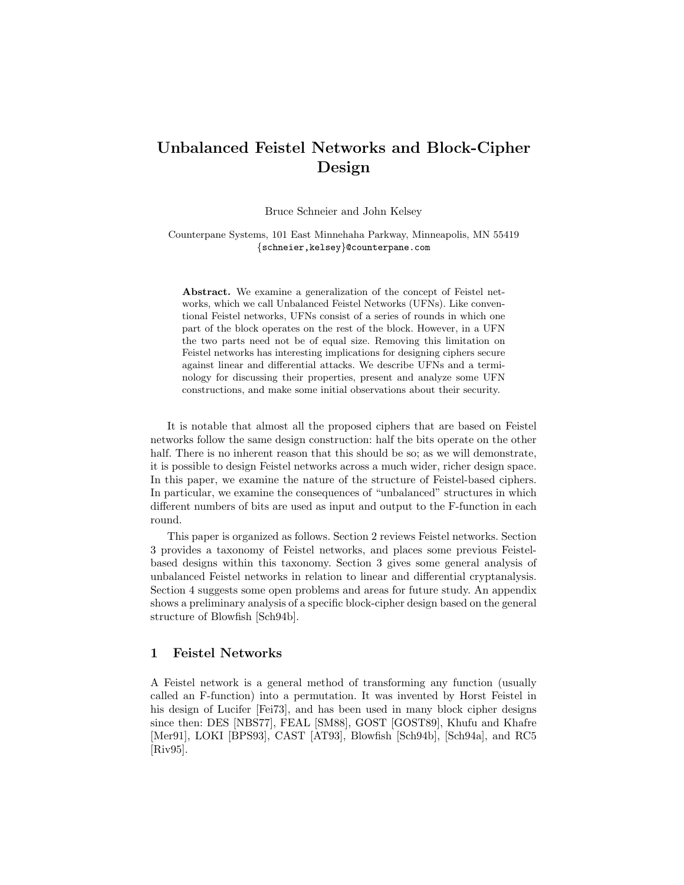# Unbalanced Feistel Networks and Block-Cipher Design

Bruce Schneier and John Kelsey

Counterpane Systems, 101 East Minnehaha Parkway, Minneapolis, MN 55419 {schneier,kelsey}@counterpane.com

Abstract. We examine a generalization of the concept of Feistel networks, which we call Unbalanced Feistel Networks (UFNs). Like conventional Feistel networks, UFNs consist of a series of rounds in which one part of the block operates on the rest of the block. However, in a UFN the two parts need not be of equal size. Removing this limitation on Feistel networks has interesting implications for designing ciphers secure against linear and differential attacks. We describe UFNs and a terminology for discussing their properties, present and analyze some UFN constructions, and make some initial observations about their security.

It is notable that almost all the proposed ciphers that are based on Feistel networks follow the same design construction: half the bits operate on the other half. There is no inherent reason that this should be so; as we will demonstrate, it is possible to design Feistel networks across a much wider, richer design space. In this paper, we examine the nature of the structure of Feistel-based ciphers. In particular, we examine the consequences of "unbalanced" structures in which different numbers of bits are used as input and output to the F-function in each round.

This paper is organized as follows. Section 2 reviews Feistel networks. Section 3 provides a taxonomy of Feistel networks, and places some previous Feistelbased designs within this taxonomy. Section 3 gives some general analysis of unbalanced Feistel networks in relation to linear and differential cryptanalysis. Section 4 suggests some open problems and areas for future study. An appendix shows a preliminary analysis of a specific block-cipher design based on the general structure of Blowfish [Sch94b].

## 1 Feistel Networks

A Feistel network is a general method of transforming any function (usually called an F-function) into a permutation. It was invented by Horst Feistel in his design of Lucifer [Fei73], and has been used in many block cipher designs since then: DES [NBS77], FEAL [SM88], GOST [GOST89], Khufu and Khafre [Mer91], LOKI [BPS93], CAST [AT93], Blowfish [Sch94b], [Sch94a], and RC5 [Riv95].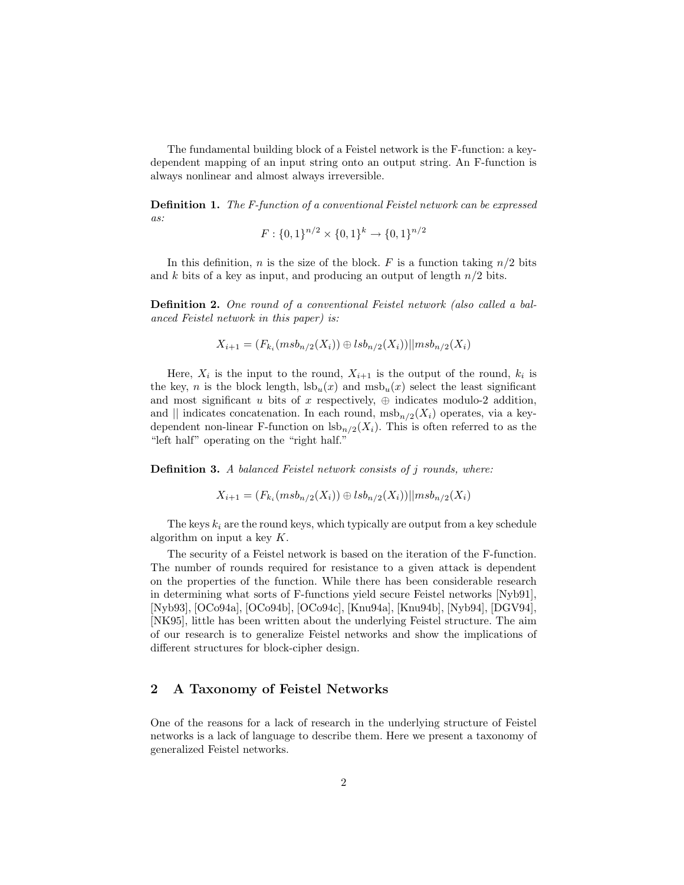The fundamental building block of a Feistel network is the F-function: a keydependent mapping of an input string onto an output string. An F-function is always nonlinear and almost always irreversible.

Definition 1. The F-function of a conventional Feistel network can be expressed as:

$$
F: \{0,1\}^{n/2} \times \{0,1\}^k \to \{0,1\}^{n/2}
$$

In this definition, *n* is the size of the block. *F* is a function taking  $n/2$  bits and k bits of a key as input, and producing an output of length  $n/2$  bits.

Definition 2. One round of a conventional Feistel network (also called a balanced Feistel network in this paper) is:

$$
X_{i+1} = (F_{k_i}(m s b_{n/2}(X_i)) \oplus l s b_{n/2}(X_i))||m s b_{n/2}(X_i)
$$

Here,  $X_i$  is the input to the round,  $X_{i+1}$  is the output of the round,  $k_i$  is the key, n is the block length,  $lsb_u(x)$  and  $msb_u(x)$  select the least significant and most significant u bits of x respectively,  $\oplus$  indicates modulo-2 addition, and || indicates concatenation. In each round,  $msb_{n/2}(X_i)$  operates, via a keydependent non-linear F-function on  $\text{lsb}_{n/2}(X_i)$ . This is often referred to as the "left half" operating on the "right half."

Definition 3. A balanced Feistel network consists of j rounds, where:

$$
X_{i+1} = (F_{k_i}(msb_{n/2}(X_i)) \oplus lsb_{n/2}(X_i))||msb_{n/2}(X_i)
$$

The keys  $k_i$  are the round keys, which typically are output from a key schedule algorithm on input a key  $K$ .

The security of a Feistel network is based on the iteration of the F-function. The number of rounds required for resistance to a given attack is dependent on the properties of the function. While there has been considerable research in determining what sorts of F-functions yield secure Feistel networks [Nyb91], [Nyb93], [OCo94a], [OCo94b], [OCo94c], [Knu94a], [Knu94b], [Nyb94], [DGV94], [NK95], little has been written about the underlying Feistel structure. The aim of our research is to generalize Feistel networks and show the implications of different structures for block-cipher design.

# 2 A Taxonomy of Feistel Networks

One of the reasons for a lack of research in the underlying structure of Feistel networks is a lack of language to describe them. Here we present a taxonomy of generalized Feistel networks.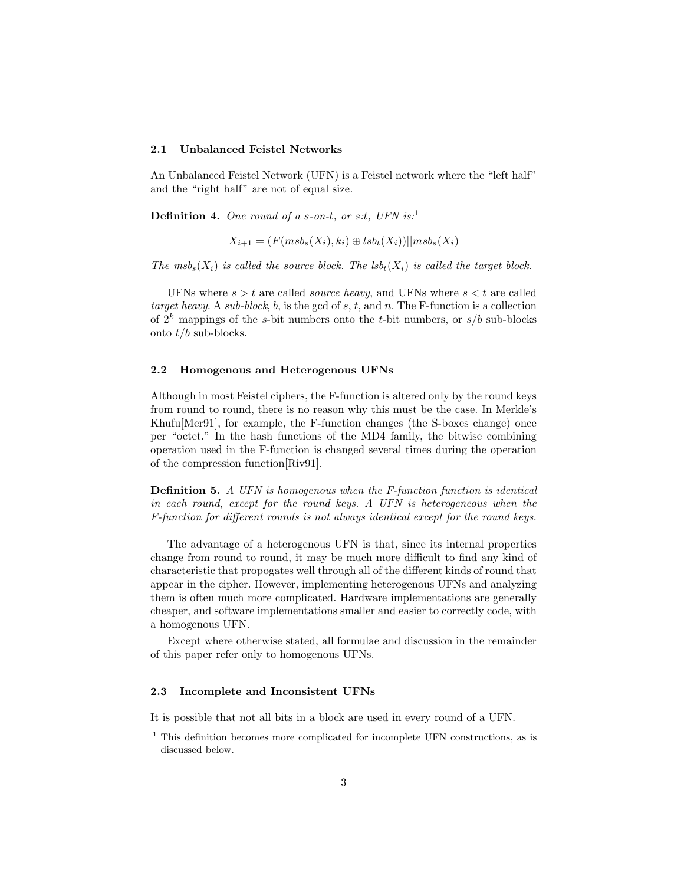#### 2.1 Unbalanced Feistel Networks

An Unbalanced Feistel Network (UFN) is a Feistel network where the "left half" and the "right half" are not of equal size.

**Definition 4.** One round of a s-on-t, or s.t, UFN is:<sup>1</sup>

$$
X_{i+1} = (F(msb_s(X_i), k_i) \oplus lsb_t(X_i))||msb_s(X_i)
$$

The msb<sub>s</sub> $(X_i)$  is called the source block. The lsb<sub>t</sub> $(X_i)$  is called the target block.

UFNs where  $s > t$  are called *source heavy*, and UFNs where  $s < t$  are called target heavy. A sub-block, b, is the gcd of s, t, and n. The F-function is a collection of  $2^k$  mappings of the s-bit numbers onto the t-bit numbers, or  $s/b$  sub-blocks onto  $t/b$  sub-blocks.

#### 2.2 Homogenous and Heterogenous UFNs

Although in most Feistel ciphers, the F-function is altered only by the round keys from round to round, there is no reason why this must be the case. In Merkle's Khufu[Mer91], for example, the F-function changes (the S-boxes change) once per "octet." In the hash functions of the MD4 family, the bitwise combining operation used in the F-function is changed several times during the operation of the compression function[Riv91].

Definition 5. A UFN is homogenous when the F-function function is identical in each round, except for the round keys. A UFN is heterogeneous when the F-function for different rounds is not always identical except for the round keys.

The advantage of a heterogenous UFN is that, since its internal properties change from round to round, it may be much more difficult to find any kind of characteristic that propogates well through all of the different kinds of round that appear in the cipher. However, implementing heterogenous UFNs and analyzing them is often much more complicated. Hardware implementations are generally cheaper, and software implementations smaller and easier to correctly code, with a homogenous UFN.

Except where otherwise stated, all formulae and discussion in the remainder of this paper refer only to homogenous UFNs.

#### 2.3 Incomplete and Inconsistent UFNs

It is possible that not all bits in a block are used in every round of a UFN.

<sup>&</sup>lt;sup>1</sup> This definition becomes more complicated for incomplete UFN constructions, as is discussed below.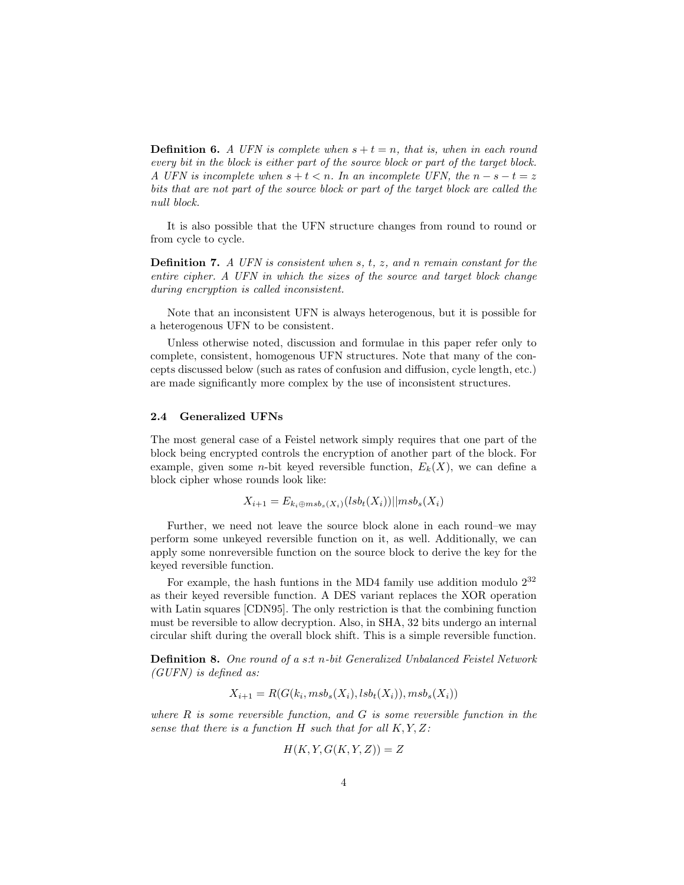**Definition 6.** A UFN is complete when  $s + t = n$ , that is, when in each round every bit in the block is either part of the source block or part of the target block. A UFN is incomplete when  $s + t < n$ . In an incomplete UFN, the  $n - s - t = z$ bits that are not part of the source block or part of the target block are called the null block.

It is also possible that the UFN structure changes from round to round or from cycle to cycle.

**Definition 7.** A UFN is consistent when  $s$ ,  $t$ ,  $z$ , and  $n$  remain constant for the entire cipher. A UFN in which the sizes of the source and target block change during encryption is called inconsistent.

Note that an inconsistent UFN is always heterogenous, but it is possible for a heterogenous UFN to be consistent.

Unless otherwise noted, discussion and formulae in this paper refer only to complete, consistent, homogenous UFN structures. Note that many of the concepts discussed below (such as rates of confusion and diffusion, cycle length, etc.) are made significantly more complex by the use of inconsistent structures.

#### 2.4 Generalized UFNs

The most general case of a Feistel network simply requires that one part of the block being encrypted controls the encryption of another part of the block. For example, given some *n*-bit keyed reversible function,  $E_k(X)$ , we can define a block cipher whose rounds look like:

$$
X_{i+1} = E_{k_i \oplus msb_s(X_i)}(lsb_t(X_i))||msb_s(X_i)
$$

Further, we need not leave the source block alone in each round–we may perform some unkeyed reversible function on it, as well. Additionally, we can apply some nonreversible function on the source block to derive the key for the keyed reversible function.

For example, the hash funtions in the MD4 family use addition modulo  $2^{32}$ as their keyed reversible function. A DES variant replaces the XOR operation with Latin squares [CDN95]. The only restriction is that the combining function must be reversible to allow decryption. Also, in SHA, 32 bits undergo an internal circular shift during the overall block shift. This is a simple reversible function.

Definition 8. One round of a s:t n-bit Generalized Unbalanced Feistel Network (GUFN) is defined as:

$$
X_{i+1} = R(G(k_i, msb_s(X_i), lsb_t(X_i)), msb_s(X_i))
$$

where  $R$  is some reversible function, and  $G$  is some reversible function in the sense that there is a function  $H$  such that for all  $K, Y, Z$ :

$$
H(K, Y, G(K, Y, Z)) = Z
$$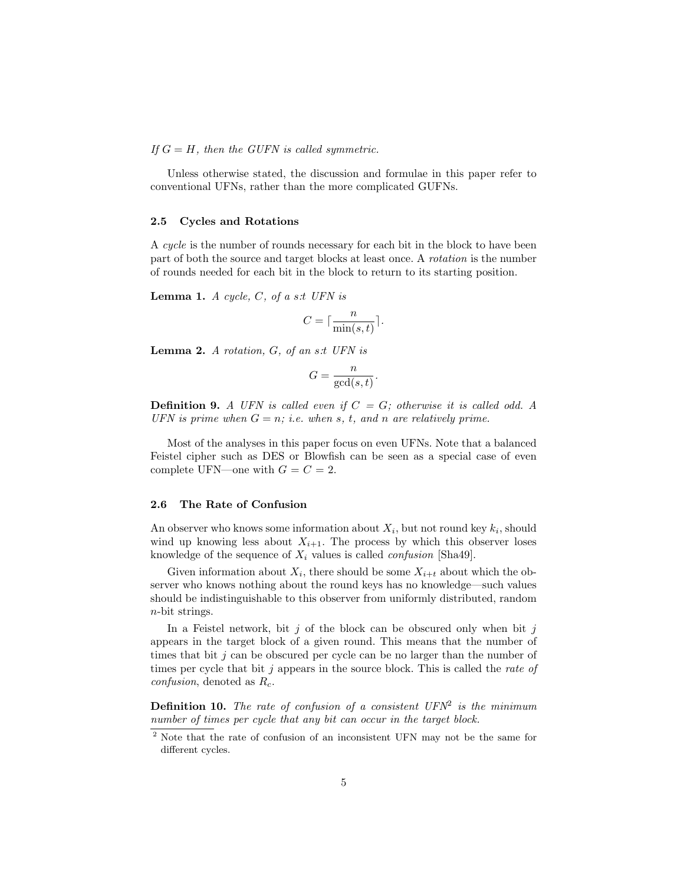If  $G = H$ , then the GUFN is called symmetric.

Unless otherwise stated, the discussion and formulae in this paper refer to conventional UFNs, rather than the more complicated GUFNs.

#### 2.5 Cycles and Rotations

A cycle is the number of rounds necessary for each bit in the block to have been part of both the source and target blocks at least once. A rotation is the number of rounds needed for each bit in the block to return to its starting position.

**Lemma 1.** A cycle,  $C$ , of a s:t UFN is

$$
C = \lceil \frac{n}{\min(s, t)} \rceil.
$$

**Lemma 2.** A rotation,  $G$ , of an s.t UFN is

$$
G = \frac{n}{\gcd(s, t)}.
$$

**Definition 9.** A UFN is called even if  $C = G$ ; otherwise it is called odd. A UFN is prime when  $G = n$ ; i.e. when s, t, and n are relatively prime.

Most of the analyses in this paper focus on even UFNs. Note that a balanced Feistel cipher such as DES or Blowfish can be seen as a special case of even complete UFN—one with  $G = C = 2$ .

#### 2.6 The Rate of Confusion

An observer who knows some information about  $X_i$ , but not round key  $k_i$ , should wind up knowing less about  $X_{i+1}$ . The process by which this observer loses knowledge of the sequence of  $X_i$  values is called *confusion* [Sha49].

Given information about  $X_i$ , there should be some  $X_{i+t}$  about which the observer who knows nothing about the round keys has no knowledge—such values should be indistinguishable to this observer from uniformly distributed, random n-bit strings.

In a Feistel network, bit  $j$  of the block can be obscured only when bit  $j$ appears in the target block of a given round. This means that the number of times that bit  $j$  can be obscured per cycle can be no larger than the number of times per cycle that bit j appears in the source block. This is called the rate of *confusion*, denoted as  $R_c$ .

**Definition 10.** The rate of confusion of a consistent  $UFN^2$  is the minimum number of times per cycle that any bit can occur in the target block.

<sup>2</sup> Note that the rate of confusion of an inconsistent UFN may not be the same for different cycles.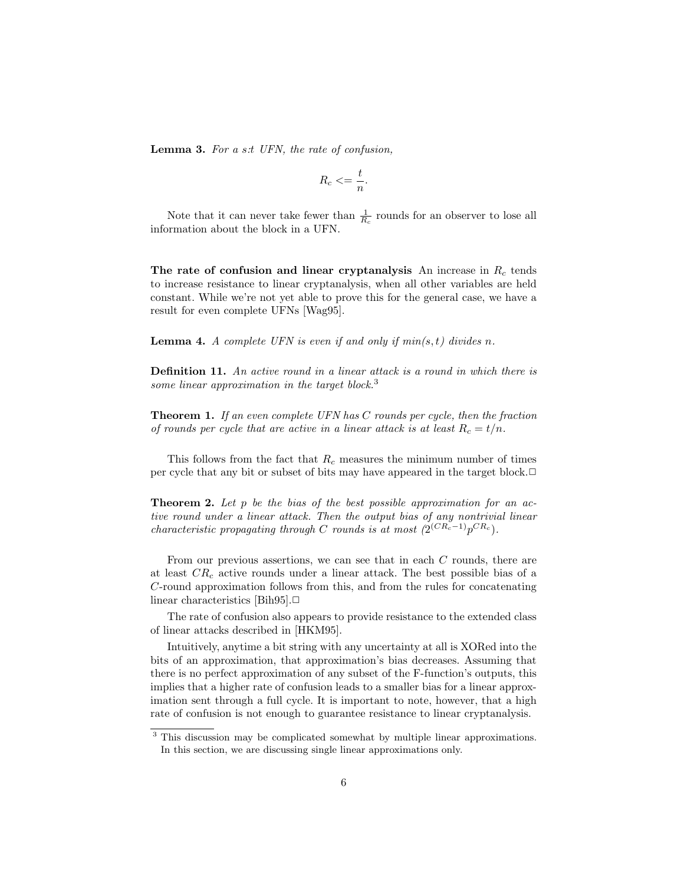Lemma 3. For a s:t UFN, the rate of confusion,

$$
R_c \leq \frac{t}{n}.
$$

Note that it can never take fewer than  $\frac{1}{R_c}$  rounds for an observer to lose all information about the block in a UFN.

The rate of confusion and linear cryptanalysis An increase in  $R_c$  tends to increase resistance to linear cryptanalysis, when all other variables are held constant. While we're not yet able to prove this for the general case, we have a result for even complete UFNs [Wag95].

**Lemma 4.** A complete UFN is even if and only if  $min(s, t)$  divides n.

Definition 11. An active round in a linear attack is a round in which there is some linear approximation in the target block.<sup>3</sup>

**Theorem 1.** If an even complete UFN has C rounds per cycle, then the fraction of rounds per cycle that are active in a linear attack is at least  $R_c = t/n$ .

This follows from the fact that  $R_c$  measures the minimum number of times per cycle that any bit or subset of bits may have appeared in the target block.**□** 

**Theorem 2.** Let  $p$  be the bias of the best possible approximation for an active round under a linear attack. Then the output bias of any nontrivial linear characteristic propagating through C rounds is at most  $(2^{(CR_c-1)}p^{CR_c})$ .

From our previous assertions, we can see that in each C rounds, there are at least  $CR_c$  active rounds under a linear attack. The best possible bias of a C-round approximation follows from this, and from the rules for concatenating linear characteristics [Bih95]. $\Box$ 

The rate of confusion also appears to provide resistance to the extended class of linear attacks described in [HKM95].

Intuitively, anytime a bit string with any uncertainty at all is XORed into the bits of an approximation, that approximation's bias decreases. Assuming that there is no perfect approximation of any subset of the F-function's outputs, this implies that a higher rate of confusion leads to a smaller bias for a linear approximation sent through a full cycle. It is important to note, however, that a high rate of confusion is not enough to guarantee resistance to linear cryptanalysis.

<sup>&</sup>lt;sup>3</sup> This discussion may be complicated somewhat by multiple linear approximations. In this section, we are discussing single linear approximations only.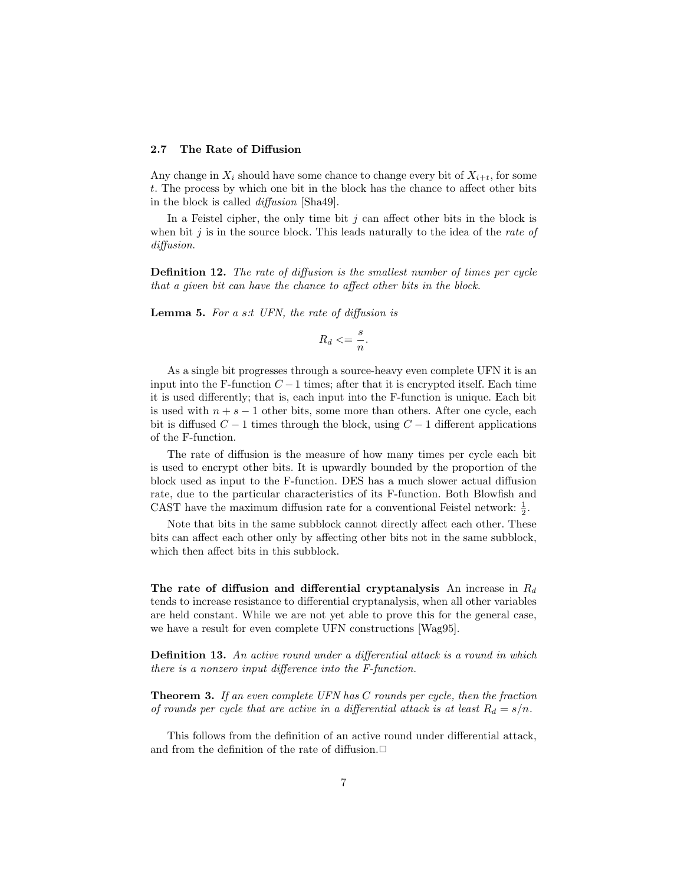#### 2.7 The Rate of Diffusion

Any change in  $X_i$  should have some chance to change every bit of  $X_{i+t}$ , for some t. The process by which one bit in the block has the chance to affect other bits in the block is called diffusion [Sha49].

In a Feistel cipher, the only time bit  $j$  can affect other bits in the block is when bit  $j$  is in the source block. This leads naturally to the idea of the *rate of* diffusion.

Definition 12. The rate of diffusion is the smallest number of times per cycle that a given bit can have the chance to affect other bits in the block.

**Lemma 5.** For a s:t UFN, the rate of diffusion is

$$
R_d \leq \frac{s}{n}.
$$

As a single bit progresses through a source-heavy even complete UFN it is an input into the F-function  $C-1$  times; after that it is encrypted itself. Each time it is used differently; that is, each input into the F-function is unique. Each bit is used with  $n + s - 1$  other bits, some more than others. After one cycle, each bit is diffused  $C - 1$  times through the block, using  $C - 1$  different applications of the F-function.

The rate of diffusion is the measure of how many times per cycle each bit is used to encrypt other bits. It is upwardly bounded by the proportion of the block used as input to the F-function. DES has a much slower actual diffusion rate, due to the particular characteristics of its F-function. Both Blowfish and CAST have the maximum diffusion rate for a conventional Feistel network:  $\frac{1}{2}$ .

Note that bits in the same subblock cannot directly affect each other. These bits can affect each other only by affecting other bits not in the same subblock, which then affect bits in this subblock.

The rate of diffusion and differential cryptanalysis An increase in  $R_d$ tends to increase resistance to differential cryptanalysis, when all other variables are held constant. While we are not yet able to prove this for the general case, we have a result for even complete UFN constructions [Wag95].

Definition 13. An active round under a differential attack is a round in which there is a nonzero input difference into the F-function.

**Theorem 3.** If an even complete UFN has C rounds per cycle, then the fraction of rounds per cycle that are active in a differential attack is at least  $R_d = s/n$ .

This follows from the definition of an active round under differential attack, and from the definition of the rate of diffusion. $\Box$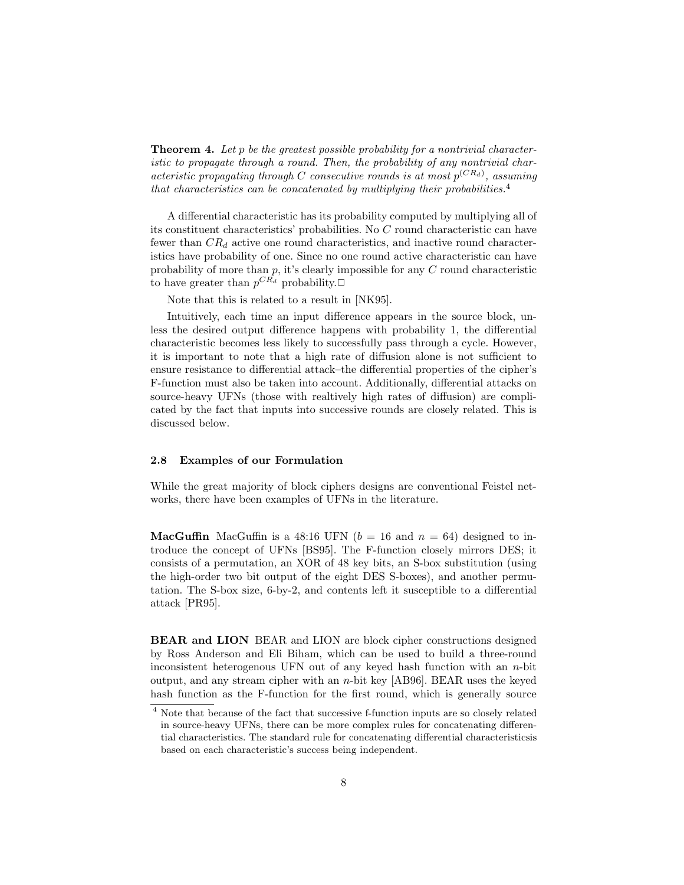**Theorem 4.** Let p be the greatest possible probability for a nontrivial characteristic to propagate through a round. Then, the probability of any nontrivial characteristic propagating through C consecutive rounds is at most  $p^{(CR_d)}$ , assuming that characteristics can be concatenated by multiplying their probabilities.<sup>4</sup>

A differential characteristic has its probability computed by multiplying all of its constituent characteristics' probabilities. No C round characteristic can have fewer than  $CR_d$  active one round characteristics, and inactive round characteristics have probability of one. Since no one round active characteristic can have probability of more than  $p$ , it's clearly impossible for any  $C$  round characteristic to have greater than  $p^{CR_d}$  probability. $\Box$ 

Note that this is related to a result in [NK95].

Intuitively, each time an input difference appears in the source block, unless the desired output difference happens with probability 1, the differential characteristic becomes less likely to successfully pass through a cycle. However, it is important to note that a high rate of diffusion alone is not sufficient to ensure resistance to differential attack–the differential properties of the cipher's F-function must also be taken into account. Additionally, differential attacks on source-heavy UFNs (those with realtively high rates of diffusion) are complicated by the fact that inputs into successive rounds are closely related. This is discussed below.

#### 2.8 Examples of our Formulation

While the great majority of block ciphers designs are conventional Feistel networks, there have been examples of UFNs in the literature.

**MacGuffin** MacGuffin is a 48:16 UFN ( $b = 16$  and  $n = 64$ ) designed to introduce the concept of UFNs [BS95]. The F-function closely mirrors DES; it consists of a permutation, an XOR of 48 key bits, an S-box substitution (using the high-order two bit output of the eight DES S-boxes), and another permutation. The S-box size, 6-by-2, and contents left it susceptible to a differential attack [PR95].

BEAR and LION BEAR and LION are block cipher constructions designed by Ross Anderson and Eli Biham, which can be used to build a three-round inconsistent heterogenous UFN out of any keyed hash function with an n-bit output, and any stream cipher with an n-bit key  $[AB96]$ . BEAR uses the keyed hash function as the F-function for the first round, which is generally source

<sup>4</sup> Note that because of the fact that successive f-function inputs are so closely related in source-heavy UFNs, there can be more complex rules for concatenating differential characteristics. The standard rule for concatenating differential characteristicsis based on each characteristic's success being independent.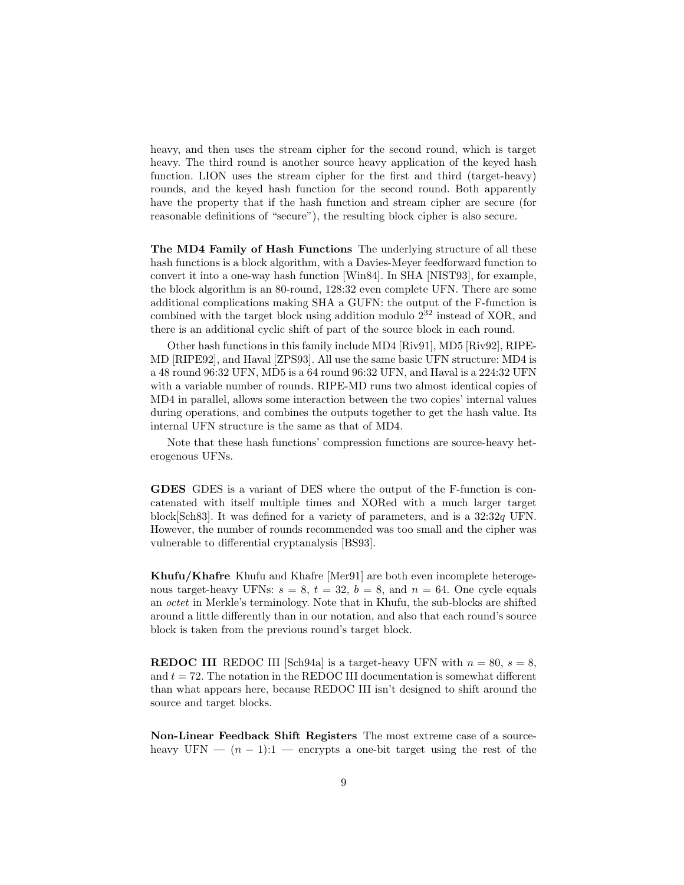heavy, and then uses the stream cipher for the second round, which is target heavy. The third round is another source heavy application of the keyed hash function. LION uses the stream cipher for the first and third (target-heavy) rounds, and the keyed hash function for the second round. Both apparently have the property that if the hash function and stream cipher are secure (for reasonable definitions of "secure"), the resulting block cipher is also secure.

The MD4 Family of Hash Functions The underlying structure of all these hash functions is a block algorithm, with a Davies-Meyer feedforward function to convert it into a one-way hash function [Win84]. In SHA [NIST93], for example, the block algorithm is an 80-round, 128:32 even complete UFN. There are some additional complications making SHA a GUFN: the output of the F-function is combined with the target block using addition modulo  $2^{32}$  instead of XOR, and there is an additional cyclic shift of part of the source block in each round.

Other hash functions in this family include MD4 [Riv91], MD5 [Riv92], RIPE-MD [RIPE92], and Haval [ZPS93]. All use the same basic UFN structure: MD4 is a 48 round 96:32 UFN, MD5 is a 64 round 96:32 UFN, and Haval is a 224:32 UFN with a variable number of rounds. RIPE-MD runs two almost identical copies of MD4 in parallel, allows some interaction between the two copies' internal values during operations, and combines the outputs together to get the hash value. Its internal UFN structure is the same as that of MD4.

Note that these hash functions' compression functions are source-heavy heterogenous UFNs.

GDES GDES is a variant of DES where the output of the F-function is concatenated with itself multiple times and XORed with a much larger target block[Sch83]. It was defined for a variety of parameters, and is a 32:32q UFN. However, the number of rounds recommended was too small and the cipher was vulnerable to differential cryptanalysis [BS93].

Khufu/Khafre Khufu and Khafre [Mer91] are both even incomplete heterogenous target-heavy UFNs:  $s = 8$ ,  $t = 32$ ,  $b = 8$ , and  $n = 64$ . One cycle equals an octet in Merkle's terminology. Note that in Khufu, the sub-blocks are shifted around a little differently than in our notation, and also that each round's source block is taken from the previous round's target block.

**REDOC III** REDOC III [Sch94a] is a target-heavy UFN with  $n = 80$ ,  $s = 8$ , and  $t = 72$ . The notation in the REDOC III documentation is somewhat different than what appears here, because REDOC III isn't designed to shift around the source and target blocks.

Non-Linear Feedback Shift Registers The most extreme case of a sourceheavy UFN —  $(n-1)$ :1 — encrypts a one-bit target using the rest of the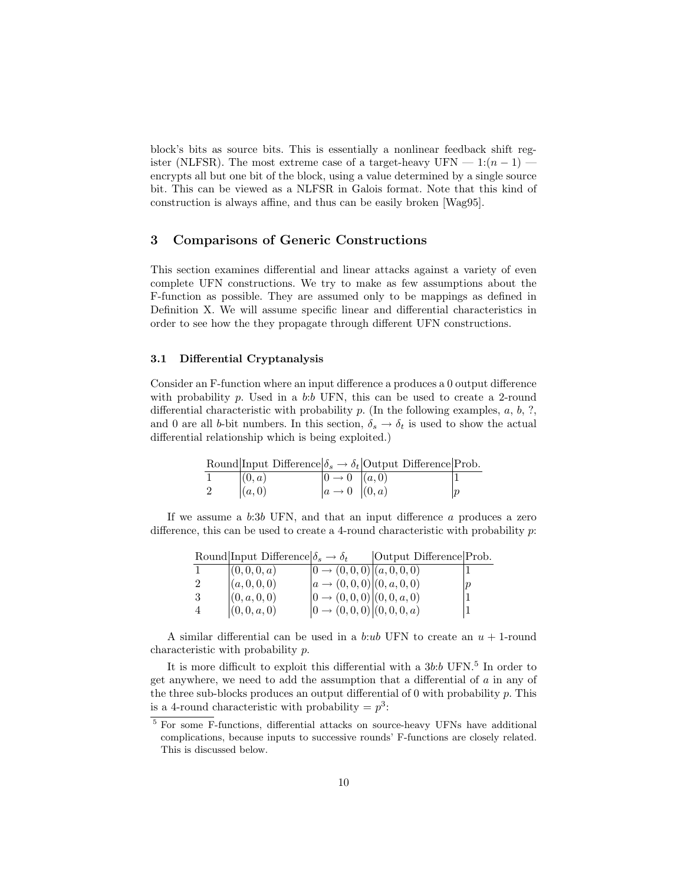block's bits as source bits. This is essentially a nonlinear feedback shift register (NLFSR). The most extreme case of a target-heavy UFN —  $1:(n-1)$  encrypts all but one bit of the block, using a value determined by a single source bit. This can be viewed as a NLFSR in Galois format. Note that this kind of construction is always affine, and thus can be easily broken [Wag95].

### 3 Comparisons of Generic Constructions

This section examines differential and linear attacks against a variety of even complete UFN constructions. We try to make as few assumptions about the F-function as possible. They are assumed only to be mappings as defined in Definition X. We will assume specific linear and differential characteristics in order to see how the they propagate through different UFN constructions.

#### 3.1 Differential Cryptanalysis

Consider an F-function where an input difference a produces a 0 output difference with probability p. Used in a b:b UFN, this can be used to create a 2-round differential characteristic with probability  $p$ . (In the following examples,  $a, b, ?$ , and 0 are all b-bit numbers. In this section,  $\delta_s \to \delta_t$  is used to show the actual differential relationship which is being exploited.)

|                |                     |                                                                                                         | Round Input Difference $\delta_s \to \delta_t$ Output Difference Prob. |                  |
|----------------|---------------------|---------------------------------------------------------------------------------------------------------|------------------------------------------------------------------------|------------------|
|                | (0,a)               | $\begin{vmatrix} 0 & \to & 0 \\ a & \to & 0 \end{vmatrix} \begin{pmatrix} a, 0 \\ (0, a) \end{pmatrix}$ |                                                                        |                  |
| $\overline{2}$ | $\vert (a,0) \vert$ |                                                                                                         |                                                                        | $\boldsymbol{p}$ |

If we assume a b:3b UFN, and that an input difference a produces a zero difference, this can be used to create a 4-round characteristic with probability p:

|    | Round Input Difference $\delta_s \to \delta_t$ |                                     | Output Difference Prob. |  |
|----|------------------------------------------------|-------------------------------------|-------------------------|--|
|    | (0,0,0,a)                                      | $ 0 \rightarrow (0,0,0)  (a,0,0,0)$ |                         |  |
|    | (a, 0, 0, 0)                                   | $ a\rightarrow (0,0,0) (0,a,0,0)$   |                         |  |
| -3 | (0, a, 0, 0)                                   | $ 0 \rightarrow (0,0,0) (0,0,a,0)$  |                         |  |
|    | (0,0,a,0)                                      | $ 0 \rightarrow (0,0,0) (0,0,0,a)$  |                         |  |

A similar differential can be used in a b:ub UFN to create an  $u + 1$ -round characteristic with probability p.

It is more difficult to exploit this differential with a  $3b:b$  UFN.<sup>5</sup> In order to get anywhere, we need to add the assumption that a differential of a in any of the three sub-blocks produces an output differential of  $0$  with probability  $p$ . This is a 4-round characteristic with probability  $= p<sup>3</sup>$ :

<sup>5</sup> For some F-functions, differential attacks on source-heavy UFNs have additional complications, because inputs to successive rounds' F-functions are closely related. This is discussed below.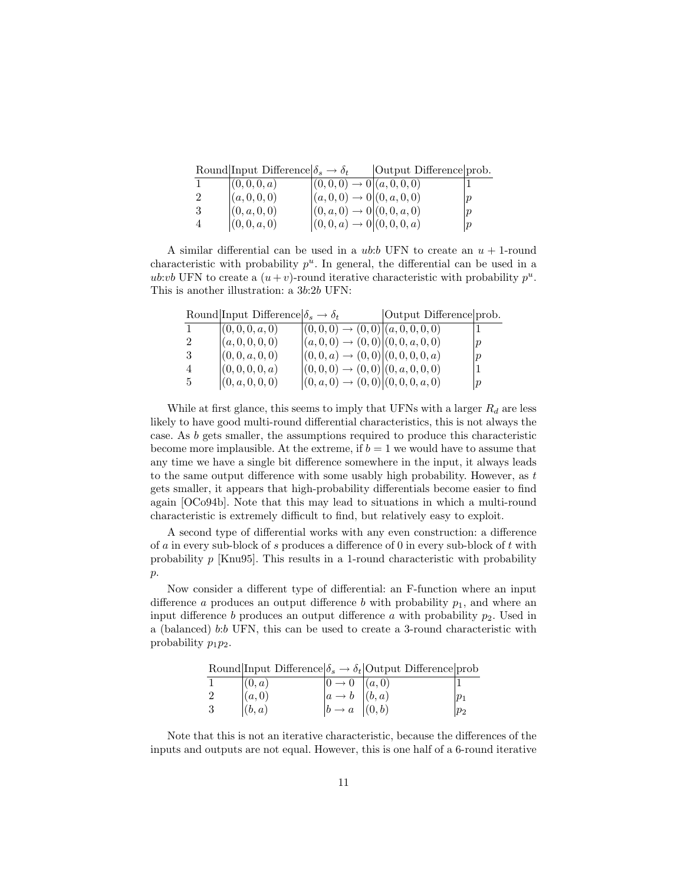|    | Round Input Difference $\delta_s \to \delta_t$ |                                          | Output Difference prob. |                  |
|----|------------------------------------------------|------------------------------------------|-------------------------|------------------|
|    | (0,0,0,a)                                      | $ (0,0,0) \rightarrow 0   (a,0,0,0)$     |                         |                  |
| 2  | (a, 0, 0, 0)                                   | $ (a,0,0) \rightarrow 0 (0,a,0,0)$       |                         |                  |
| -3 | (0, a, 0, 0)                                   | $(0, a, 0) \rightarrow 0   (0, 0, a, 0)$ |                         |                  |
|    | (0,0,a,0)                                      | $ (0,0,a) \rightarrow 0   (0,0,0,a)$     |                         | $\boldsymbol{p}$ |

A similar differential can be used in a *ub:b* UFN to create an  $u + 1$ -round characteristic with probability  $p^u$ . In general, the differential can be used in a ub:vb UFN to create a  $(u + v)$ -round iterative characteristic with probability  $p^u$ . This is another illustration: a 3b:2b UFN:

|                | Round Input Difference $\delta_s \to \delta_t$ |                                                 | Output Difference prob. |   |
|----------------|------------------------------------------------|-------------------------------------------------|-------------------------|---|
|                | (0,0,0,a,0)                                    | $ (0,0,0) \rightarrow (0,0) (a,0,0,0,0)$        |                         |   |
| $\overline{2}$ | (a, 0, 0, 0, 0)                                | $ (a,0,0) \rightarrow (0,0)  (0,0,a,0,0)$       |                         | p |
| -3             | (0, 0, a, 0, 0)                                | $ (0,0,a) \rightarrow (0,0)  (0,0,0,0,a)$       |                         | p |
| 4              | (0, 0, 0, 0, a)                                | $ (0,0,0) \rightarrow (0,0) (0,a,0,0,0)$        |                         |   |
| -5             | (0, a, 0, 0, 0)                                | $ (0, a, 0) \rightarrow (0, 0) (0, 0, 0, a, 0)$ |                         | p |

While at first glance, this seems to imply that UFNs with a larger  $R_d$  are less likely to have good multi-round differential characteristics, this is not always the case. As b gets smaller, the assumptions required to produce this characteristic become more implausible. At the extreme, if  $b = 1$  we would have to assume that any time we have a single bit difference somewhere in the input, it always leads to the same output difference with some usably high probability. However, as  $t$ gets smaller, it appears that high-probability differentials become easier to find again [OCo94b]. Note that this may lead to situations in which a multi-round characteristic is extremely difficult to find, but relatively easy to exploit.

A second type of differential works with any even construction: a difference of a in every sub-block of s produces a difference of 0 in every sub-block of t with probability  $p$  [Knu95]. This results in a 1-round characteristic with probability  $\mathfrak{p}.$ 

Now consider a different type of differential: an F-function where an input difference a produces an output difference b with probability  $p_1$ , and where an input difference b produces an output difference a with probability  $p_2$ . Used in a (balanced) b:b UFN, this can be used to create a 3-round characteristic with probability  $p_1p_2$ .

|  |                                   |                                              | Round Input Difference $\delta_s \to \delta_t$ Output Difference prob |         |
|--|-----------------------------------|----------------------------------------------|-----------------------------------------------------------------------|---------|
|  | (0,a)                             | $ 0 \to 0 \rangle  (a,0) $                   |                                                                       |         |
|  | $\left  \hat{a}, 0 \right\rangle$ | $ a \rightarrow b \rangle$ $  (b,a) \rangle$ |                                                                       |         |
|  | (b,a)                             | $ b \rightarrow a \rangle  (0, b) $          |                                                                       | $p_{2}$ |

Note that this is not an iterative characteristic, because the differences of the inputs and outputs are not equal. However, this is one half of a 6-round iterative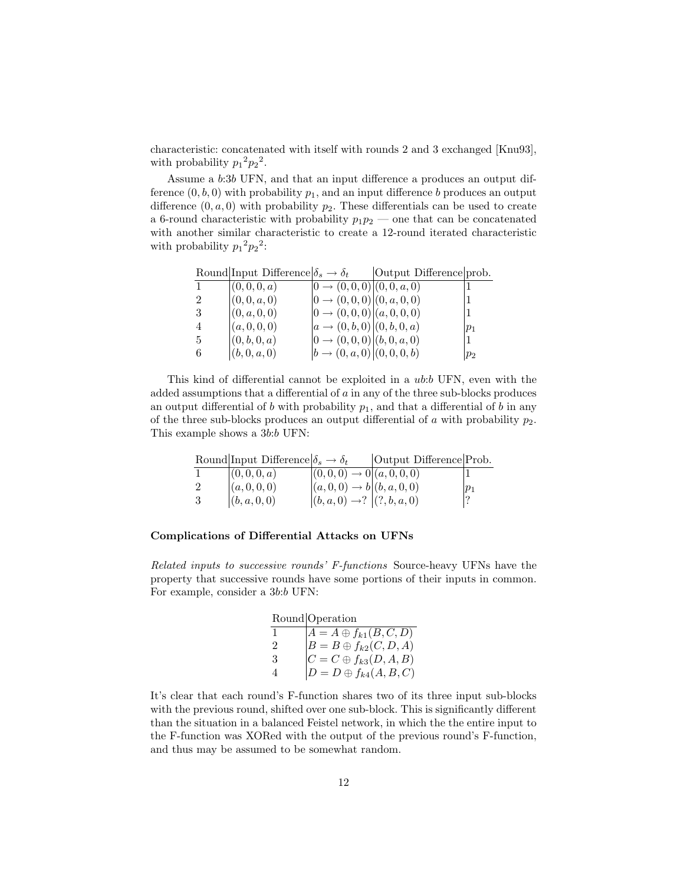characteristic: concatenated with itself with rounds 2 and 3 exchanged [Knu93], with probability  $p_1^2 p_2^2$ .

Assume a b:3b UFN, and that an input difference a produces an output difference  $(0, b, 0)$  with probability  $p_1$ , and an input difference b produces an output difference  $(0, a, 0)$  with probability  $p_2$ . These differentials can be used to create a 6-round characteristic with probability  $p_1p_2$  — one that can be concatenated with another similar characteristic to create a 12-round iterated characteristic with probability  $p_1^2 p_2^2$ :

|    | Round Input Difference $\delta_s \to \delta_t$ |                                         | Output Difference prob. |       |
|----|------------------------------------------------|-----------------------------------------|-------------------------|-------|
|    | (0, 0, 0, a)                                   | $[0 \rightarrow (0,0,0)   (0,0,a,0)$    |                         |       |
| 2  | (0, 0, a, 0)                                   | $[0 \rightarrow (0,0,0)   (0, a, 0, 0)$ |                         |       |
|    | (0, a, 0, 0)                                   | $[0 \rightarrow (0,0,0)   (a,0,0,0)$    |                         |       |
|    | (a, 0, 0, 0)                                   | $ a\rightarrow (0,b,0) (0,b,0,a)$       |                         | $p_1$ |
| -5 | (0, b, 0, a)                                   | $[0 \rightarrow (0,0,0)   (b,0,a,0)$    |                         |       |
| -6 | (b, 0, a, 0)                                   | $ b\rightarrow(0,a,0) (0,0,0,b)$        |                         | $p_2$ |

This kind of differential cannot be exploited in a ub:b UFN, even with the added assumptions that a differential of  $a$  in any of the three sub-blocks produces an output differential of b with probability  $p_1$ , and that a differential of b in any of the three sub-blocks produces an output differential of  $a$  with probability  $p_2$ . This example shows a 3b:b UFN:

|    | Round Input Difference $\delta_s \to \delta_t$ |                                          | Output Difference Prob. |        |
|----|------------------------------------------------|------------------------------------------|-------------------------|--------|
|    | (0,0,0,a)                                      | $ (0,0,0) \rightarrow 0   (a,0,0,0)$     |                         |        |
|    | (a, 0, 0, 0)                                   | $ (a,0,0) \to b   (b,a,0,0)$             |                         | $ p_1$ |
| -3 | ( (b, a, 0, 0)                                 | $(0, a, 0) \rightarrow ? \ (?, b, a, 0)$ |                         |        |

#### Complications of Differential Attacks on UFNs

Related inputs to successive rounds' F-functions Source-heavy UFNs have the property that successive rounds have some portions of their inputs in common. For example, consider a 3b:b UFN:

|                | Round Operation                                                                                                                      |
|----------------|--------------------------------------------------------------------------------------------------------------------------------------|
|                |                                                                                                                                      |
| $\mathcal{D}$  |                                                                                                                                      |
| 3              |                                                                                                                                      |
| $\overline{4}$ | $A = A \oplus f_{k1}(B, C, D)$<br>$B = B \oplus f_{k2}(C, D, A)$<br>$C = C \oplus f_{k3}(D, A, B)$<br>$D = D \oplus f_{k4}(A, B, C)$ |

It's clear that each round's F-function shares two of its three input sub-blocks with the previous round, shifted over one sub-block. This is significantly different than the situation in a balanced Feistel network, in which the the entire input to the F-function was XORed with the output of the previous round's F-function, and thus may be assumed to be somewhat random.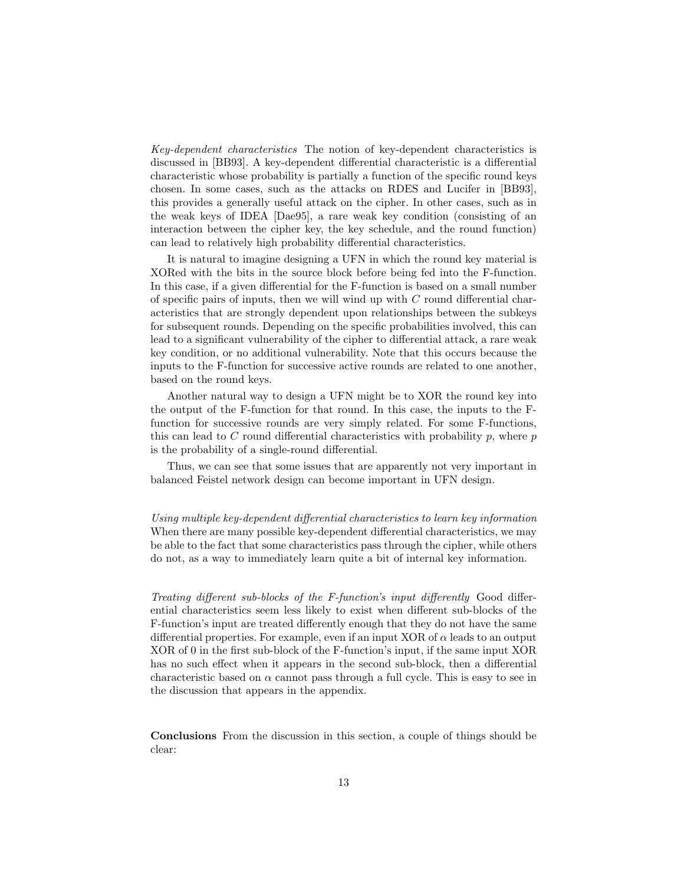Key-dependent characteristics The notion of key-dependent characteristics is discussed in [BB93]. A key-dependent differential characteristic is a differential characteristic whose probability is partially a function of the specific round keys chosen. In some cases, such as the attacks on RDES and Lucifer in [BB93], this provides a generally useful attack on the cipher. In other cases, such as in the weak keys of IDEA [Dae95], a rare weak key condition (consisting of an interaction between the cipher key, the key schedule, and the round function) can lead to relatively high probability differential characteristics.

It is natural to imagine designing a UFN in which the round key material is XORed with the bits in the source block before being fed into the F-function. In this case, if a given differential for the F-function is based on a small number of specific pairs of inputs, then we will wind up with  $C$  round differential characteristics that are strongly dependent upon relationships between the subkeys for subsequent rounds. Depending on the specific probabilities involved, this can lead to a significant vulnerability of the cipher to differential attack, a rare weak key condition, or no additional vulnerability. Note that this occurs because the inputs to the F-function for successive active rounds are related to one another, based on the round keys.

Another natural way to design a UFN might be to XOR the round key into the output of the F-function for that round. In this case, the inputs to the Ffunction for successive rounds are very simply related. For some F-functions, this can lead to C round differential characteristics with probability  $p$ , where  $p$ is the probability of a single-round differential.

Thus, we can see that some issues that are apparently not very important in balanced Feistel network design can become important in UFN design.

Using multiple key-dependent differential characteristics to learn key information When there are many possible key-dependent differential characteristics, we may be able to the fact that some characteristics pass through the cipher, while others do not, as a way to immediately learn quite a bit of internal key information.

Treating different sub-blocks of the F-function's input differently Good differential characteristics seem less likely to exist when different sub-blocks of the F-function's input are treated differently enough that they do not have the same differential properties. For example, even if an input XOR of  $\alpha$  leads to an output XOR of 0 in the first sub-block of the F-function's input, if the same input XOR has no such effect when it appears in the second sub-block, then a differential characteristic based on  $\alpha$  cannot pass through a full cycle. This is easy to see in the discussion that appears in the appendix.

Conclusions From the discussion in this section, a couple of things should be clear: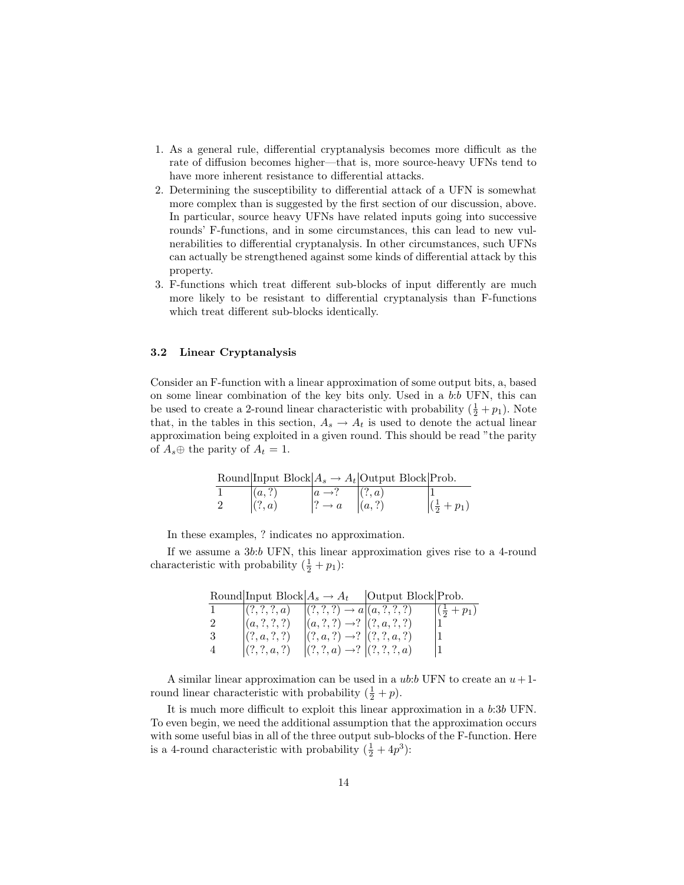- 1. As a general rule, differential cryptanalysis becomes more difficult as the rate of diffusion becomes higher—that is, more source-heavy UFNs tend to have more inherent resistance to differential attacks.
- 2. Determining the susceptibility to differential attack of a UFN is somewhat more complex than is suggested by the first section of our discussion, above. In particular, source heavy UFNs have related inputs going into successive rounds' F-functions, and in some circumstances, this can lead to new vulnerabilities to differential cryptanalysis. In other circumstances, such UFNs can actually be strengthened against some kinds of differential attack by this property.
- 3. F-functions which treat different sub-blocks of input differently are much more likely to be resistant to differential cryptanalysis than F-functions which treat different sub-blocks identically.

#### 3.2 Linear Cryptanalysis

Consider an F-function with a linear approximation of some output bits, a, based on some linear combination of the key bits only. Used in a b:b UFN, this can be used to create a 2-round linear characteristic with probability  $(\frac{1}{2} + p_1)$ . Note that, in the tables in this section,  $A_s \to A_t$  is used to denote the actual linear approximation being exploited in a given round. This should be read "the parity of  $A_s \oplus$  the parity of  $A_t = 1$ .

|        |                                      | Round Input Block $A_s \to A_t$ Output Block Prob. |                       |
|--------|--------------------------------------|----------------------------------------------------|-----------------------|
| (a,?)  |                                      | (?,a)                                              |                       |
| (?, a) | $\vert ? \rightarrow a \vert (a, ?)$ |                                                    | $(\frac{1}{2} + p_1)$ |

In these examples, ? indicates no approximation.

If we assume a 3b:b UFN, this linear approximation gives rise to a 4-round characteristic with probability  $(\frac{1}{2} + p_1)$ :

|    |           |                                                     | Round Input Block $A_s \to A_t$   Output Block Prob. |                                    |
|----|-----------|-----------------------------------------------------|------------------------------------------------------|------------------------------------|
|    |           | $ (?,?,?,a) \quad  (?,?,?) \rightarrow a (a,?,?,?)$ |                                                      | $\left (\frac{1}{2} + p_1)\right $ |
| -2 | (a,?,?,?) | $ (a,?,?) \rightarrow ?  (?,a,?,?)$                 |                                                      |                                    |
| -3 | (?,a,?,?) | $ (?,a,?) \rightarrow  (?,?,a,?)$                   |                                                      |                                    |
| 4  | (?,?,a,?) | $ (?,?,a) \rightarrow  (?,?,?,a)$                   |                                                      |                                    |

A similar linear approximation can be used in a  $ub:b$  UFN to create an  $u+1$ round linear characteristic with probability  $(\frac{1}{2} + p)$ .

It is much more difficult to exploit this linear approximation in a b:3b UFN. To even begin, we need the additional assumption that the approximation occurs with some useful bias in all of the three output sub-blocks of the F-function. Here is a 4-round characteristic with probability  $(\frac{1}{2} + 4p^3)$ :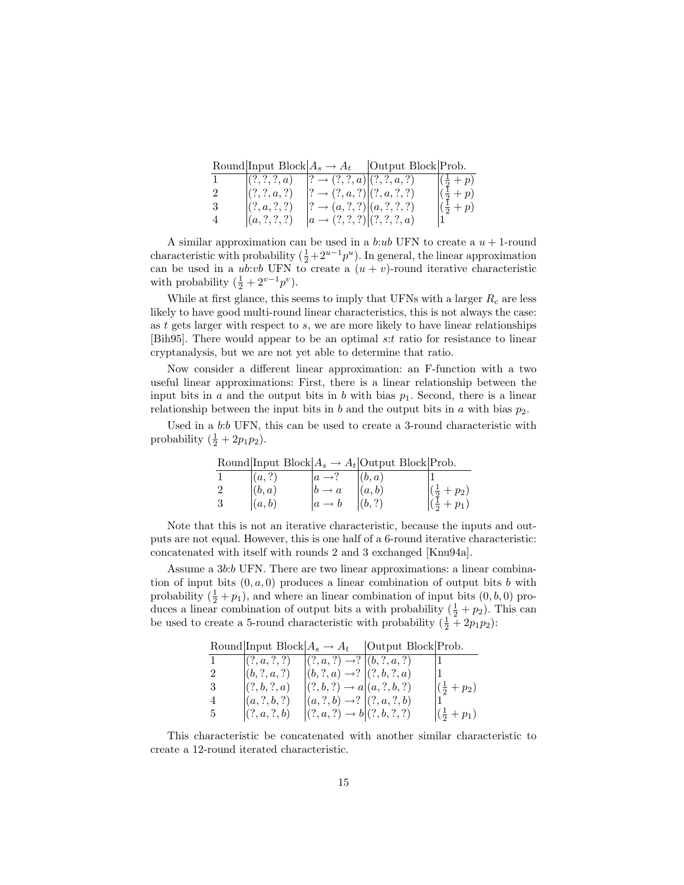|                | Round Input Block $A_s \to A_t$ |                                          | Output Block Prob. |                                |
|----------------|---------------------------------|------------------------------------------|--------------------|--------------------------------|
|                | (?,?,?,a)                       | $[? \rightarrow (?,?,a)](?,?,a,?)$       |                    | $(\frac{1}{2} + p)$            |
| 2              | (?,?,a,?)                       | $[? \rightarrow (?, a, ?)](?, a, ?, ?)$  |                    | $\left(\frac{1}{2}+p\right)$   |
| 3              | (?,a,?,?)                       | $[? \rightarrow (a, ?, ?)] (a, ?, ?, ?)$ |                    | $\left (\frac{1}{2}+p)\right $ |
| $\overline{4}$ | (a,?,?,?)                       | $[a \rightarrow (?,?,?)][?,?,?,a)$       |                    |                                |

A similar approximation can be used in a b:ub UFN to create a  $u + 1$ -round characteristic with probability  $(\frac{1}{2} + 2^{u-1}p^u)$ . In general, the linear approximation can be used in a *ub:vb* UFN to create a  $(u + v)$ -round iterative characteristic with probability  $(\frac{1}{2} + 2^{\nu-1}p^{\nu}).$ 

While at first glance, this seems to imply that UFNs with a larger  $R_c$  are less likely to have good multi-round linear characteristics, this is not always the case: as  $t$  gets larger with respect to  $s$ , we are more likely to have linear relationships [Bih95]. There would appear to be an optimal s:t ratio for resistance to linear cryptanalysis, but we are not yet able to determine that ratio.

Now consider a different linear approximation: an F-function with a two useful linear approximations: First, there is a linear relationship between the input bits in a and the output bits in b with bias  $p_1$ . Second, there is a linear relationship between the input bits in b and the output bits in a with bias  $p_2$ .

Used in a b:b UFN, this can be used to create a 3-round characteristic with probability  $(\frac{1}{2} + 2p_1p_2)$ .

Round Input Block  $A_s \rightarrow A_t$  Output Block Prob. 1  $(a, ?)$   $a \rightarrow ?$   $(b, a)$  1 2  $\left( b, a \right)$   $\left| b \rightarrow a \right| \left( a, b \right)$   $\left| \left( \frac{1}{2} + p_2 \right) \right|$ 3  $|(a, b) |a \to b |(b, ?)| \qquad |(\frac{1}{2} + p_1)|$ 

Note that this is not an iterative characteristic, because the inputs and outputs are not equal. However, this is one half of a 6-round iterative characteristic: concatenated with itself with rounds 2 and 3 exchanged [Knu94a].

Assume a 3b:b UFN. There are two linear approximations: a linear combination of input bits  $(0, a, 0)$  produces a linear combination of output bits b with probability  $(\frac{1}{2} + p_1)$ , and where an linear combination of input bits  $(0, b, 0)$  produces a linear combination of output bits a with probability  $(\frac{1}{2} + p_2)$ . This can be used to create a 5-round characteristic with probability  $(\frac{1}{2} + 2p_1p_2)$ :

|                | Round Input Block $A_s \to A_t$ |                                           | Output Block Prob. |                                  |
|----------------|---------------------------------|-------------------------------------------|--------------------|----------------------------------|
|                | (?, a, ?, ?)                    | $ (?,a,?) \rightarrow   (b,?,a,?)$        |                    |                                  |
| 2              | (b,?,a,?)                       | $ (b,?,a) \rightarrow  (?,b,?,a)$         |                    |                                  |
| -3             | (?, b, ?, a)                    | $ (?, b, ?) \rightarrow a   (a, ?, b, ?)$ |                    | $\left(\frac{1}{2} + p_2\right)$ |
| $\overline{4}$ | (a,?,b,?)                       | $ (a,?,b) \rightarrow ?  (?,a,?,b) $      |                    |                                  |
| 5              | (?, a, ?, b)                    | $ (?,a,?) \rightarrow b (?,b,?,?)$        |                    | $\left (\frac{1}{2}+p_1)\right $ |

This characteristic be concatenated with another similar characteristic to create a 12-round iterated characteristic.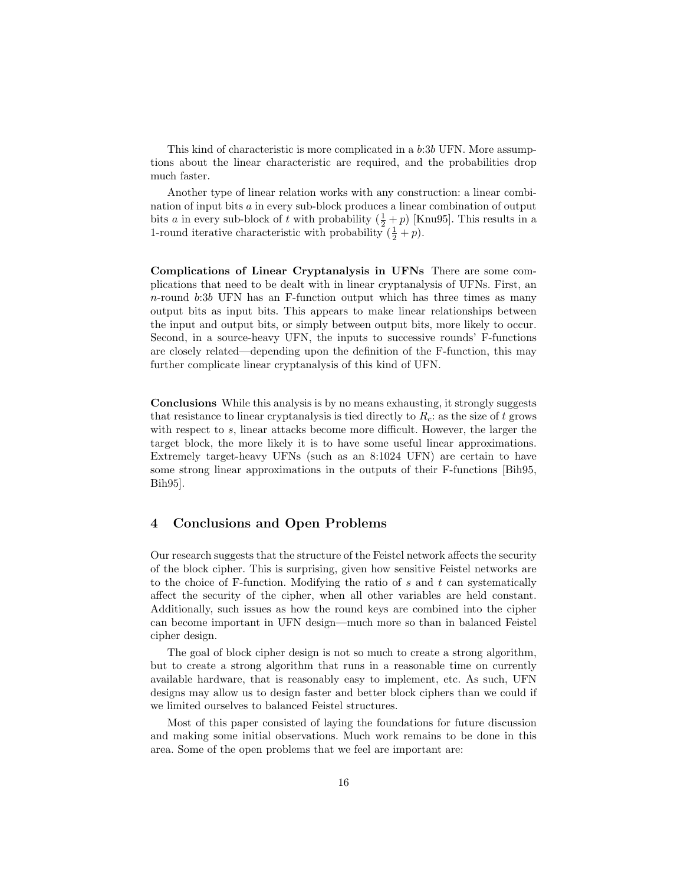This kind of characteristic is more complicated in a b:3b UFN. More assumptions about the linear characteristic are required, and the probabilities drop much faster.

Another type of linear relation works with any construction: a linear combination of input bits a in every sub-block produces a linear combination of output bits a in every sub-block of t with probability  $(\frac{1}{2} + p)$  [Knu95]. This results in a 1-round iterative characteristic with probability  $(\frac{1}{2} + p)$ .

Complications of Linear Cryptanalysis in UFNs There are some complications that need to be dealt with in linear cryptanalysis of UFNs. First, an  $n$ -round  $b:3b$  UFN has an F-function output which has three times as many output bits as input bits. This appears to make linear relationships between the input and output bits, or simply between output bits, more likely to occur. Second, in a source-heavy UFN, the inputs to successive rounds' F-functions are closely related—depending upon the definition of the F-function, this may further complicate linear cryptanalysis of this kind of UFN.

Conclusions While this analysis is by no means exhausting, it strongly suggests that resistance to linear cryptanalysis is tied directly to  $R_c$ : as the size of t grows with respect to s, linear attacks become more difficult. However, the larger the target block, the more likely it is to have some useful linear approximations. Extremely target-heavy UFNs (such as an 8:1024 UFN) are certain to have some strong linear approximations in the outputs of their F-functions [Bih95, Bih95].

# 4 Conclusions and Open Problems

Our research suggests that the structure of the Feistel network affects the security of the block cipher. This is surprising, given how sensitive Feistel networks are to the choice of F-function. Modifying the ratio of  $s$  and  $t$  can systematically affect the security of the cipher, when all other variables are held constant. Additionally, such issues as how the round keys are combined into the cipher can become important in UFN design—much more so than in balanced Feistel cipher design.

The goal of block cipher design is not so much to create a strong algorithm, but to create a strong algorithm that runs in a reasonable time on currently available hardware, that is reasonably easy to implement, etc. As such, UFN designs may allow us to design faster and better block ciphers than we could if we limited ourselves to balanced Feistel structures.

Most of this paper consisted of laying the foundations for future discussion and making some initial observations. Much work remains to be done in this area. Some of the open problems that we feel are important are: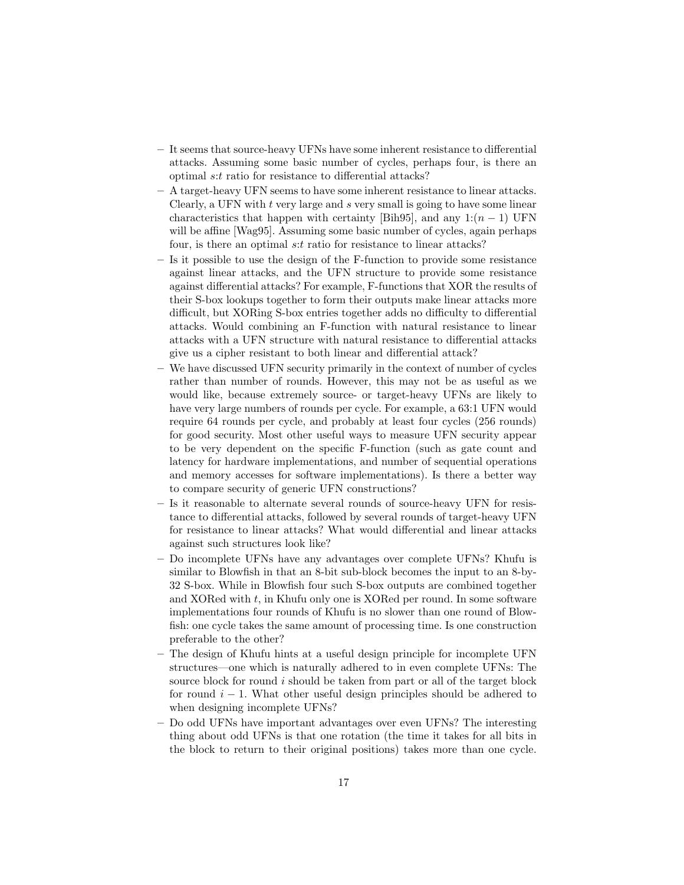- It seems that source-heavy UFNs have some inherent resistance to differential attacks. Assuming some basic number of cycles, perhaps four, is there an optimal s:t ratio for resistance to differential attacks?
- A target-heavy UFN seems to have some inherent resistance to linear attacks. Clearly, a UFN with  $t$  very large and  $s$  very small is going to have some linear characteristics that happen with certainty [Bih95], and any  $1:(n-1)$  UFN will be affine [Wag95]. Assuming some basic number of cycles, again perhaps four, is there an optimal s:t ratio for resistance to linear attacks?
- Is it possible to use the design of the F-function to provide some resistance against linear attacks, and the UFN structure to provide some resistance against differential attacks? For example, F-functions that XOR the results of their S-box lookups together to form their outputs make linear attacks more difficult, but XORing S-box entries together adds no difficulty to differential attacks. Would combining an F-function with natural resistance to linear attacks with a UFN structure with natural resistance to differential attacks give us a cipher resistant to both linear and differential attack?
- We have discussed UFN security primarily in the context of number of cycles rather than number of rounds. However, this may not be as useful as we would like, because extremely source- or target-heavy UFNs are likely to have very large numbers of rounds per cycle. For example, a 63:1 UFN would require 64 rounds per cycle, and probably at least four cycles (256 rounds) for good security. Most other useful ways to measure UFN security appear to be very dependent on the specific F-function (such as gate count and latency for hardware implementations, and number of sequential operations and memory accesses for software implementations). Is there a better way to compare security of generic UFN constructions?
- Is it reasonable to alternate several rounds of source-heavy UFN for resistance to differential attacks, followed by several rounds of target-heavy UFN for resistance to linear attacks? What would differential and linear attacks against such structures look like?
- Do incomplete UFNs have any advantages over complete UFNs? Khufu is similar to Blowfish in that an 8-bit sub-block becomes the input to an 8-by-32 S-box. While in Blowfish four such S-box outputs are combined together and XORed with t, in Khufu only one is XORed per round. In some software implementations four rounds of Khufu is no slower than one round of Blowfish: one cycle takes the same amount of processing time. Is one construction preferable to the other?
- The design of Khufu hints at a useful design principle for incomplete UFN structures—one which is naturally adhered to in even complete UFNs: The source block for round i should be taken from part or all of the target block for round  $i - 1$ . What other useful design principles should be adhered to when designing incomplete UFNs?
- Do odd UFNs have important advantages over even UFNs? The interesting thing about odd UFNs is that one rotation (the time it takes for all bits in the block to return to their original positions) takes more than one cycle.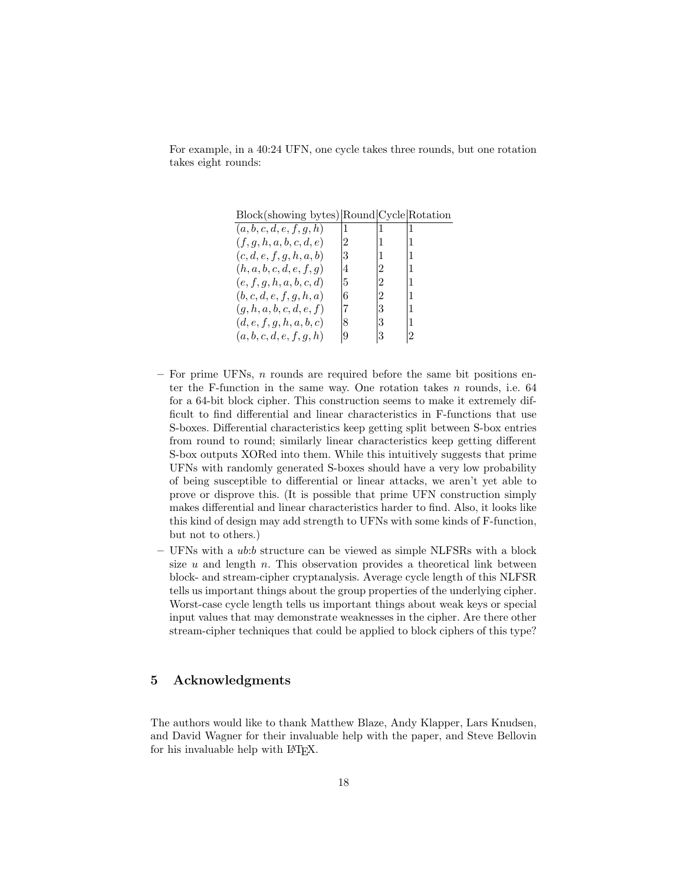For example, in a 40:24 UFN, one cycle takes three rounds, but one rotation takes eight rounds:

Block(showing bytes) Round Cycle Rotation

| (a,b,c,d,e,f,g,h)        | $\cdot$ 1      | 1              | 1              |
|--------------------------|----------------|----------------|----------------|
| (f,g,h,a,b,c,d,e)        | $\overline{2}$ | (1)            | $\mathbf{1}$   |
| (c,d,e,f,g,h,a,b)        | 3              | 11             | 1              |
| (h, a, b, c, d, e, f, g) | 4              | $\overline{2}$ | $\mathbf{1}$   |
| (e, f, g, h, a, b, c, d) | 5              | $\overline{2}$ | $\mathbf{1}$   |
| (b,c,d,e,f,g,h,a)        | 6              | $\overline{2}$ | $\mathbf{1}$   |
| (g, h, a, b, c, d, e, f) | 17             | 3              | 1              |
| (d, e, f, g, h, a, b, c) | 8              | 3              | 1              |
| (a,b,c,d,e,f,g,h)        | 9              | 3              | $\overline{2}$ |

- For prime UFNs,  $n$  rounds are required before the same bit positions enter the F-function in the same way. One rotation takes  $n$  rounds, i.e. 64 for a 64-bit block cipher. This construction seems to make it extremely difficult to find differential and linear characteristics in F-functions that use S-boxes. Differential characteristics keep getting split between S-box entries from round to round; similarly linear characteristics keep getting different S-box outputs XORed into them. While this intuitively suggests that prime UFNs with randomly generated S-boxes should have a very low probability of being susceptible to differential or linear attacks, we aren't yet able to prove or disprove this. (It is possible that prime UFN construction simply makes differential and linear characteristics harder to find. Also, it looks like this kind of design may add strength to UFNs with some kinds of F-function, but not to others.)
- $-$  UFNs with a  $ub:b$  structure can be viewed as simple NLFSRs with a block size  $u$  and length  $n$ . This observation provides a theoretical link between block- and stream-cipher cryptanalysis. Average cycle length of this NLFSR tells us important things about the group properties of the underlying cipher. Worst-case cycle length tells us important things about weak keys or special input values that may demonstrate weaknesses in the cipher. Are there other stream-cipher techniques that could be applied to block ciphers of this type?

## 5 Acknowledgments

The authors would like to thank Matthew Blaze, Andy Klapper, Lars Knudsen, and David Wagner for their invaluable help with the paper, and Steve Bellovin for his invaluable help with LAT<sub>EX</sub>.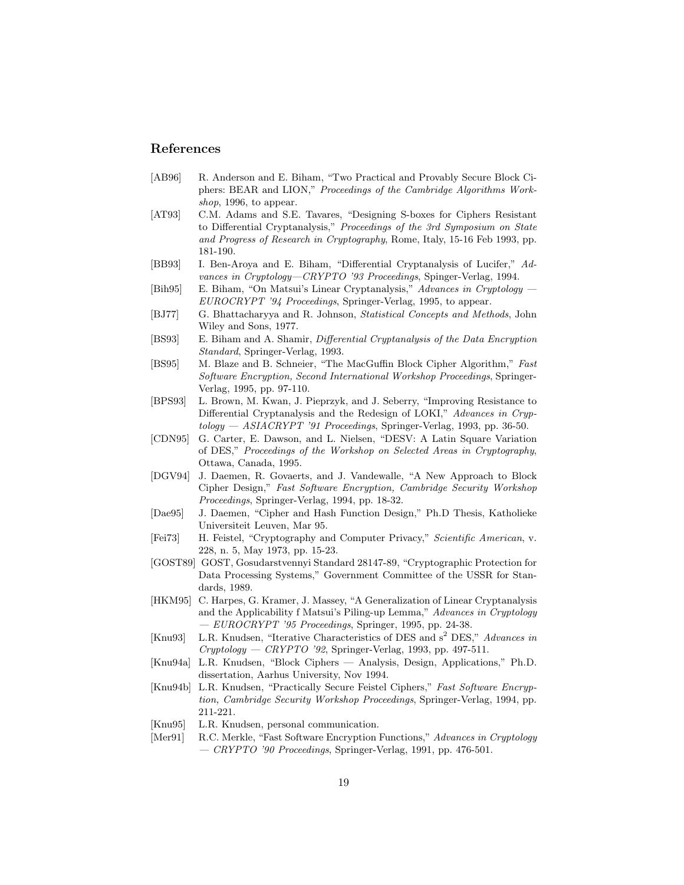# References

- [AB96] R. Anderson and E. Biham, "Two Practical and Provably Secure Block Ciphers: BEAR and LION," Proceedings of the Cambridge Algorithms Workshop, 1996, to appear.
- [AT93] C.M. Adams and S.E. Tavares, "Designing S-boxes for Ciphers Resistant to Differential Cryptanalysis," Proceedings of the 3rd Symposium on State and Progress of Research in Cryptography, Rome, Italy, 15-16 Feb 1993, pp. 181-190.
- [BB93] I. Ben-Aroya and E. Biham, "Differential Cryptanalysis of Lucifer," Advances in Cryptology—CRYPTO '93 Proceedings, Spinger-Verlag, 1994.
- [Bih95] E. Biham, "On Matsui's Linear Cryptanalysis," Advances in Cryptology EUROCRYPT '94 Proceedings, Springer-Verlag, 1995, to appear.
- [BJ77] G. Bhattacharyya and R. Johnson, Statistical Concepts and Methods, John Wiley and Sons, 1977.
- [BS93] E. Biham and A. Shamir, Differential Cryptanalysis of the Data Encryption Standard, Springer-Verlag, 1993.
- [BS95] M. Blaze and B. Schneier, "The MacGuffin Block Cipher Algorithm," Fast Software Encryption, Second International Workshop Proceedings, Springer-Verlag, 1995, pp. 97-110.
- [BPS93] L. Brown, M. Kwan, J. Pieprzyk, and J. Seberry, "Improving Resistance to Differential Cryptanalysis and the Redesign of LOKI," Advances in Cryp $tology - ASIACRYPT'31 Proceedings$ , Springer-Verlag, 1993, pp. 36-50.
- [CDN95] G. Carter, E. Dawson, and L. Nielsen, "DESV: A Latin Square Variation of DES," Proceedings of the Workshop on Selected Areas in Cryptography, Ottawa, Canada, 1995.
- [DGV94] J. Daemen, R. Govaerts, and J. Vandewalle, "A New Approach to Block Cipher Design," Fast Software Encryption, Cambridge Security Workshop Proceedings, Springer-Verlag, 1994, pp. 18-32.
- [Dae95] J. Daemen, "Cipher and Hash Function Design," Ph.D Thesis, Katholieke Universiteit Leuven, Mar 95.
- [Fei73] H. Feistel, "Cryptography and Computer Privacy," Scientific American, v. 228, n. 5, May 1973, pp. 15-23.
- [GOST89] GOST, Gosudarstvennyi Standard 28147-89, "Cryptographic Protection for Data Processing Systems," Government Committee of the USSR for Standards, 1989.
- [HKM95] C. Harpes, G. Kramer, J. Massey, "A Generalization of Linear Cryptanalysis and the Applicability f Matsui's Piling-up Lemma," Advances in Cryptology  $-$  EUROCRYPT '95 Proceedings, Springer, 1995, pp. 24-38.
- [Knu93] L.R. Knudsen, "Iterative Characteristics of DES and s<sup>2</sup> DES," Advances in  $Cryptology - CRYPTO'92$ , Springer-Verlag, 1993, pp. 497-511.
- [Knu94a] L.R. Knudsen, "Block Ciphers Analysis, Design, Applications," Ph.D. dissertation, Aarhus University, Nov 1994.
- [Knu94b] L.R. Knudsen, "Practically Secure Feistel Ciphers," Fast Software Encryption, Cambridge Security Workshop Proceedings, Springer-Verlag, 1994, pp. 211-221.
- [Knu95] L.R. Knudsen, personal communication.
- [Mer91] R.C. Merkle, "Fast Software Encryption Functions," Advances in Cryptology — CRYPTO '90 Proceedings, Springer-Verlag, 1991, pp. 476-501.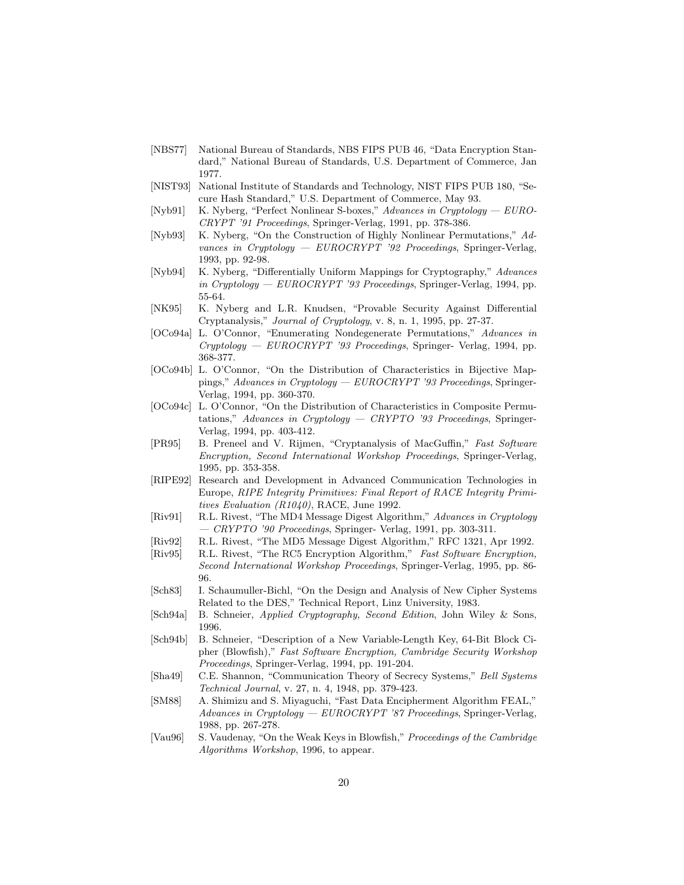- [NBS77] National Bureau of Standards, NBS FIPS PUB 46, "Data Encryption Standard," National Bureau of Standards, U.S. Department of Commerce, Jan 1977.
- [NIST93] National Institute of Standards and Technology, NIST FIPS PUB 180, "Secure Hash Standard," U.S. Department of Commerce, May 93.
- [Nyb91] K. Nyberg, "Perfect Nonlinear S-boxes," Advances in Cryptology EURO-CRYPT '91 Proceedings, Springer-Verlag, 1991, pp. 378-386.
- [Nyb93] K. Nyberg, "On the Construction of Highly Nonlinear Permutations," Advances in Cryptology —  $EUROCRYPT$  '92 Proceedings, Springer-Verlag, 1993, pp. 92-98.
- [Nyb94] K. Nyberg, "Differentially Uniform Mappings for Cryptography," Advances in Cryptology —  $EUROCRYPT$  '93 Proceedings, Springer-Verlag, 1994, pp. 55-64.
- [NK95] K. Nyberg and L.R. Knudsen, "Provable Security Against Differential Cryptanalysis," Journal of Cryptology, v. 8, n. 1, 1995, pp. 27-37.
- [OCo94a] L. O'Connor, "Enumerating Nondegenerate Permutations," Advances in Cryptology — EUROCRYPT '93 Proceedings, Springer- Verlag, 1994, pp. 368-377.
- [OCo94b] L. O'Connor, "On the Distribution of Characteristics in Bijective Mappings," Advances in Cryptology — EUROCRYPT '93 Proceedings, Springer-Verlag, 1994, pp. 360-370.
- [OCo94c] L. O'Connor, "On the Distribution of Characteristics in Composite Permutations," Advances in Cryptology — CRYPTO '93 Proceedings, Springer-Verlag, 1994, pp. 403-412.
- [PR95] B. Preneel and V. Rijmen, "Cryptanalysis of MacGuffin," Fast Software Encryption, Second International Workshop Proceedings, Springer-Verlag, 1995, pp. 353-358.
- [RIPE92] Research and Development in Advanced Communication Technologies in Europe, RIPE Integrity Primitives: Final Report of RACE Integrity Primitives Evaluation (R1040), RACE, June 1992.
- [Riv91] R.L. Rivest, "The MD4 Message Digest Algorithm," Advances in Cryptology  $-$  CRYPTO '90 Proceedings, Springer- Verlag, 1991, pp. 303-311.
- [Riv92] R.L. Rivest, "The MD5 Message Digest Algorithm," RFC 1321, Apr 1992.
- [Riv95] R.L. Rivest, "The RC5 Encryption Algorithm," Fast Software Encryption, Second International Workshop Proceedings, Springer-Verlag, 1995, pp. 86- 96.
- [Sch83] I. Schaumuller-Bichl, "On the Design and Analysis of New Cipher Systems Related to the DES," Technical Report, Linz University, 1983.
- [Sch94a] B. Schneier, Applied Cryptography, Second Edition, John Wiley & Sons, 1996.
- [Sch94b] B. Schneier, "Description of a New Variable-Length Key, 64-Bit Block Cipher (Blowfish)," Fast Software Encryption, Cambridge Security Workshop Proceedings, Springer-Verlag, 1994, pp. 191-204.
- [Sha49] C.E. Shannon, "Communication Theory of Secrecy Systems," Bell Systems Technical Journal, v. 27, n. 4, 1948, pp. 379-423.
- [SM88] A. Shimizu and S. Miyaguchi, "Fast Data Encipherment Algorithm FEAL," Advances in Cryptology — EUROCRYPT '87 Proceedings, Springer-Verlag, 1988, pp. 267-278.
- [Vau96] S. Vaudenay, "On the Weak Keys in Blowfish," Proceedings of the Cambridge Algorithms Workshop, 1996, to appear.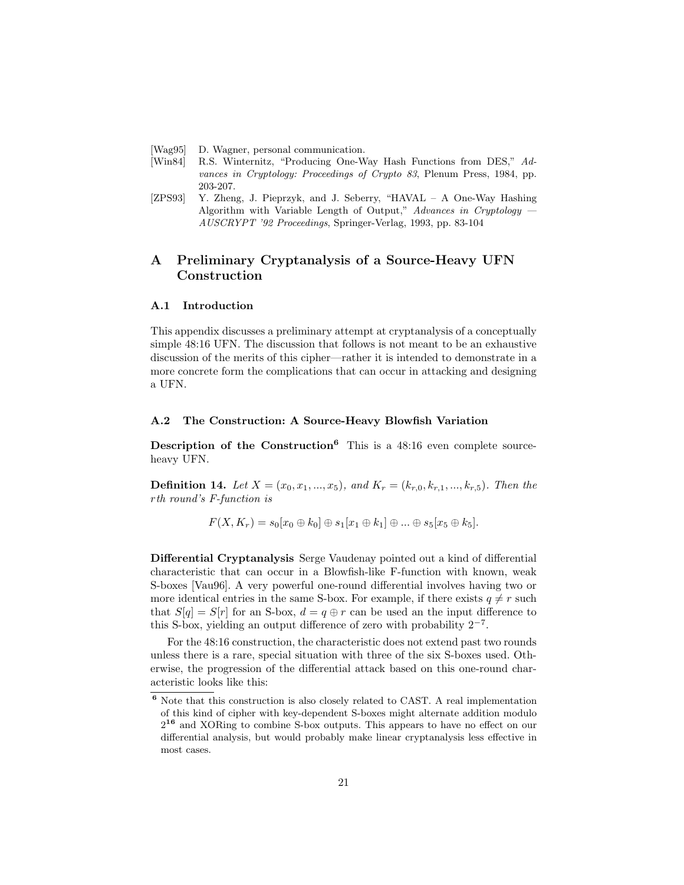- [Wag95] D. Wagner, personal communication.
- [Win84] R.S. Winternitz, "Producing One-Way Hash Functions from DES," Advances in Cryptology: Proceedings of Crypto 83, Plenum Press, 1984, pp. 203-207.
- [ZPS93] Y. Zheng, J. Pieprzyk, and J. Seberry, "HAVAL A One-Way Hashing Algorithm with Variable Length of Output," Advances in Cryptology  $\cdot$ AUSCRYPT '92 Proceedings, Springer-Verlag, 1993, pp. 83-104

# A Preliminary Cryptanalysis of a Source-Heavy UFN Construction

#### A.1 Introduction

This appendix discusses a preliminary attempt at cryptanalysis of a conceptually simple 48:16 UFN. The discussion that follows is not meant to be an exhaustive discussion of the merits of this cipher—rather it is intended to demonstrate in a more concrete form the complications that can occur in attacking and designing a UFN.

#### A.2 The Construction: A Source-Heavy Blowfish Variation

Description of the Construction<sup>6</sup> This is a  $48:16$  even complete sourceheavy UFN.

**Definition 14.** Let  $X = (x_0, x_1, ..., x_5)$ , and  $K_r = (k_{r,0}, k_{r,1}, ..., k_{r,5})$ . Then the rth round's F-function is

$$
F(X, K_r) = s_0[x_0 \oplus k_0] \oplus s_1[x_1 \oplus k_1] \oplus \ldots \oplus s_5[x_5 \oplus k_5].
$$

Differential Cryptanalysis Serge Vaudenay pointed out a kind of differential characteristic that can occur in a Blowfish-like F-function with known, weak S-boxes [Vau96]. A very powerful one-round differential involves having two or more identical entries in the same S-box. For example, if there exists  $q \neq r$  such that  $S[q] = S[r]$  for an S-box,  $d = q \oplus r$  can be used an the input difference to this S-box, yielding an output difference of zero with probability  $2^{-7}$ .

For the 48:16 construction, the characteristic does not extend past two rounds unless there is a rare, special situation with three of the six S-boxes used. Otherwise, the progression of the differential attack based on this one-round characteristic looks like this:

<sup>6</sup> Note that this construction is also closely related to CAST. A real implementation of this kind of cipher with key-dependent S-boxes might alternate addition modulo  $2^{16}$  and XORing to combine S-box outputs. This appears to have no effect on our differential analysis, but would probably make linear cryptanalysis less effective in most cases.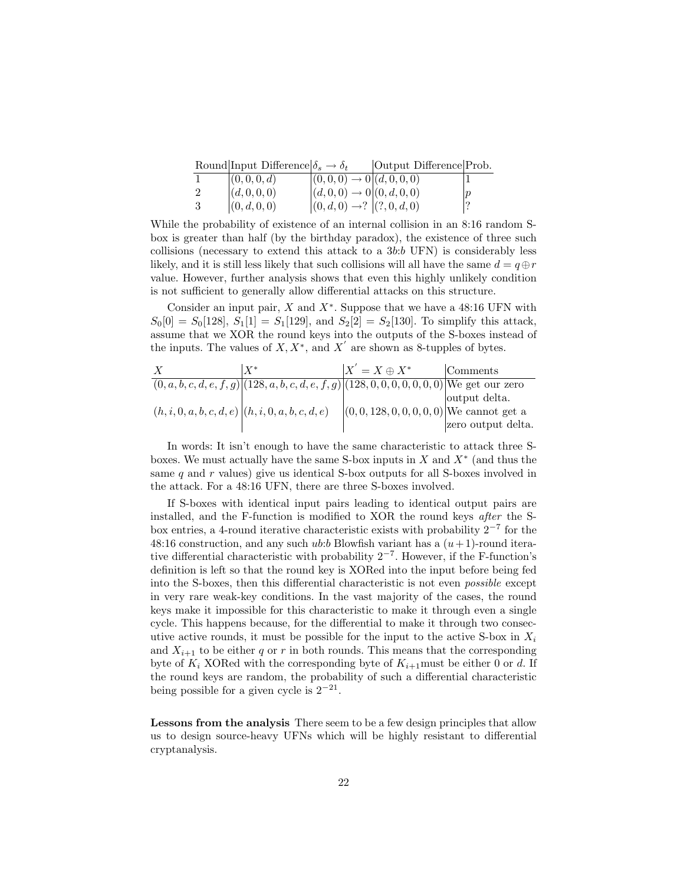|    | Round Input Difference $\delta_s \to \delta_t$ |                                           | Output Difference Prob. |  |
|----|------------------------------------------------|-------------------------------------------|-------------------------|--|
|    | (0,0,0,d)                                      | $ (0,0,0) \rightarrow 0   (d,0,0,0)$      |                         |  |
|    | (d,0,0,0)                                      | $ (d,0,0) \rightarrow 0   (0,d,0,0)$      |                         |  |
| -3 | (0, d, 0, 0)                                   | $ (0, d, 0) \rightarrow ?  (?, 0, d, 0) $ |                         |  |

While the probability of existence of an internal collision in an 8:16 random Sbox is greater than half (by the birthday paradox), the existence of three such collisions (necessary to extend this attack to a 3b:b UFN) is considerably less likely, and it is still less likely that such collisions will all have the same  $d = q \oplus r$ value. However, further analysis shows that even this highly unlikely condition is not sufficient to generally allow differential attacks on this structure.

Consider an input pair,  $X$  and  $X^*$ . Suppose that we have a 48:16 UFN with  $S_0[0] = S_0[128], S_1[1] = S_1[129], \text{ and } S_2[2] = S_2[130].$  To simplify this attack, assume that we XOR the round keys into the outputs of the S-boxes instead of the inputs. The values of  $X, X^*$ , and  $X'$  are shown as 8-tupples of bytes.

X X<sup>∗</sup> X 0 = X ⊕ X<sup>∗</sup> Comments (0, a, b, c, d, e, f, g) (128, a, b, c, d, e, f, g) (128, 0, 0, 0, 0, 0, 0, 0) We get our zero output delta. (h, i, 0, a, b, c, d, e) (h, i, 0, a, b, c, d, e) (0, 0, 128, 0, 0, 0, 0, 0) We cannot get a zero output delta.

In words: It isn't enough to have the same characteristic to attack three Sboxes. We must actually have the same S-box inputs in  $X$  and  $X^*$  (and thus the same  $q$  and  $r$  values) give us identical S-box outputs for all S-boxes involved in the attack. For a 48:16 UFN, there are three S-boxes involved.

If S-boxes with identical input pairs leading to identical output pairs are installed, and the F-function is modified to XOR the round keys after the Sbox entries, a 4-round iterative characteristic exists with probability 2−<sup>7</sup> for the 48:16 construction, and any such *ub:b* Blowfish variant has a  $(u+1)$ -round iterative differential characteristic with probability 2−<sup>7</sup> . However, if the F-function's definition is left so that the round key is XORed into the input before being fed into the S-boxes, then this differential characteristic is not even possible except in very rare weak-key conditions. In the vast majority of the cases, the round keys make it impossible for this characteristic to make it through even a single cycle. This happens because, for the differential to make it through two consecutive active rounds, it must be possible for the input to the active S-box in  $X_i$ and  $X_{i+1}$  to be either q or r in both rounds. This means that the corresponding byte of  $K_i$  XORed with the corresponding byte of  $K_{i+1}$ must be either 0 or d. If the round keys are random, the probability of such a differential characteristic being possible for a given cycle is  $2^{-21}$ .

Lessons from the analysis There seem to be a few design principles that allow us to design source-heavy UFNs which will be highly resistant to differential cryptanalysis.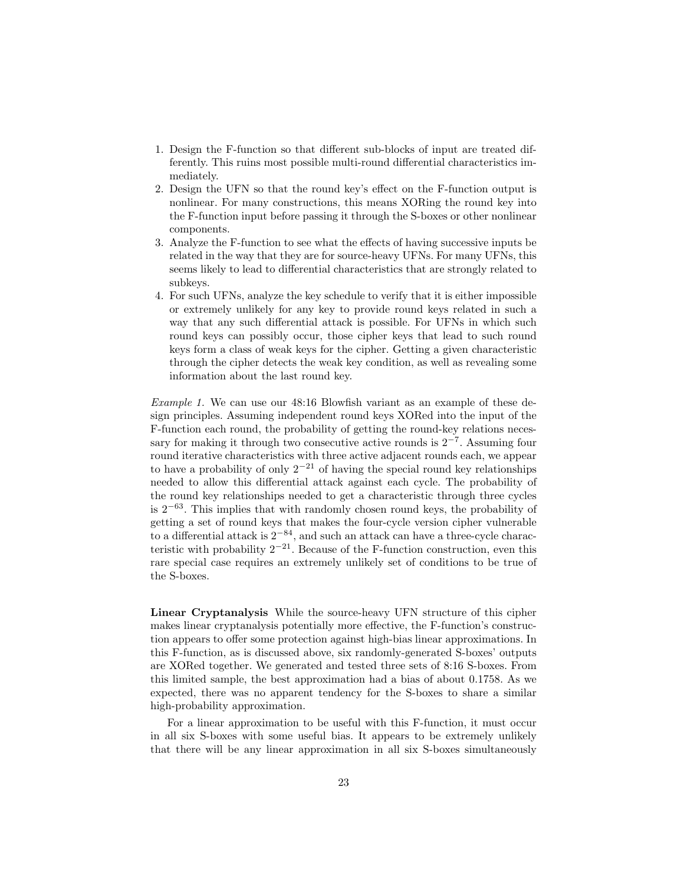- 1. Design the F-function so that different sub-blocks of input are treated differently. This ruins most possible multi-round differential characteristics immediately.
- 2. Design the UFN so that the round key's effect on the F-function output is nonlinear. For many constructions, this means XORing the round key into the F-function input before passing it through the S-boxes or other nonlinear components.
- 3. Analyze the F-function to see what the effects of having successive inputs be related in the way that they are for source-heavy UFNs. For many UFNs, this seems likely to lead to differential characteristics that are strongly related to subkeys.
- 4. For such UFNs, analyze the key schedule to verify that it is either impossible or extremely unlikely for any key to provide round keys related in such a way that any such differential attack is possible. For UFNs in which such round keys can possibly occur, those cipher keys that lead to such round keys form a class of weak keys for the cipher. Getting a given characteristic through the cipher detects the weak key condition, as well as revealing some information about the last round key.

Example 1. We can use our 48:16 Blowfish variant as an example of these design principles. Assuming independent round keys XORed into the input of the F-function each round, the probability of getting the round-key relations necessary for making it through two consecutive active rounds is  $2^{-7}$ . Assuming four round iterative characteristics with three active adjacent rounds each, we appear to have a probability of only  $2^{-21}$  of having the special round key relationships needed to allow this differential attack against each cycle. The probability of the round key relationships needed to get a characteristic through three cycles is 2−<sup>63</sup>. This implies that with randomly chosen round keys, the probability of getting a set of round keys that makes the four-cycle version cipher vulnerable to a differential attack is  $2^{-84}$ , and such an attack can have a three-cycle characteristic with probability  $2^{-21}$ . Because of the F-function construction, even this rare special case requires an extremely unlikely set of conditions to be true of the S-boxes.

Linear Cryptanalysis While the source-heavy UFN structure of this cipher makes linear cryptanalysis potentially more effective, the F-function's construction appears to offer some protection against high-bias linear approximations. In this F-function, as is discussed above, six randomly-generated S-boxes' outputs are XORed together. We generated and tested three sets of 8:16 S-boxes. From this limited sample, the best approximation had a bias of about 0.1758. As we expected, there was no apparent tendency for the S-boxes to share a similar high-probability approximation.

For a linear approximation to be useful with this F-function, it must occur in all six S-boxes with some useful bias. It appears to be extremely unlikely that there will be any linear approximation in all six S-boxes simultaneously